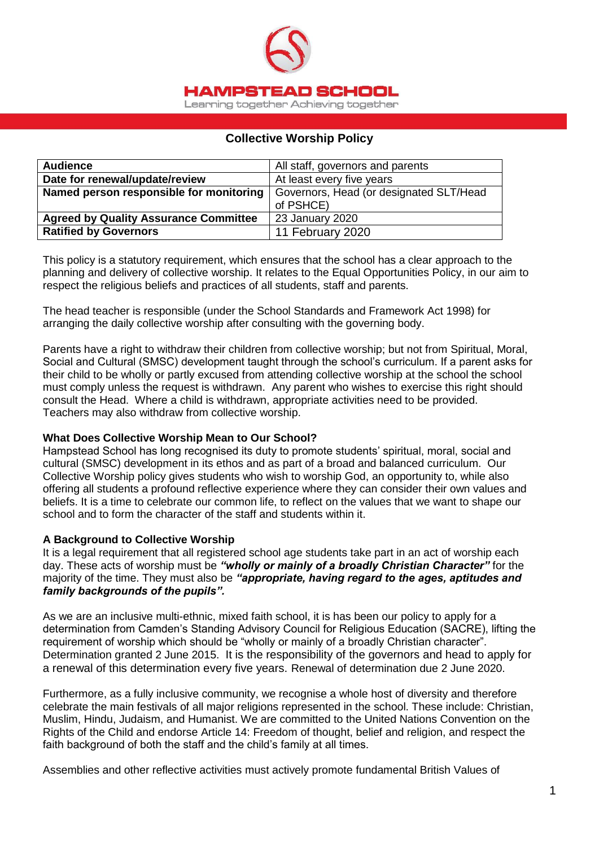

## **Collective Worship Policy**

| <b>Audience</b>                              | All staff, governors and parents        |  |
|----------------------------------------------|-----------------------------------------|--|
| Date for renewal/update/review               | At least every five years               |  |
| Named person responsible for monitoring      | Governors, Head (or designated SLT/Head |  |
|                                              | of PSHCE)                               |  |
| <b>Agreed by Quality Assurance Committee</b> | 23 January 2020                         |  |
| <b>Ratified by Governors</b>                 | 11 February 2020                        |  |

This policy is a statutory requirement, which ensures that the school has a clear approach to the planning and delivery of collective worship. It relates to the Equal Opportunities Policy, in our aim to respect the religious beliefs and practices of all students, staff and parents.

The head teacher is responsible (under the School Standards and Framework Act 1998) for arranging the daily collective worship after consulting with the governing body.

Parents have a right to withdraw their children from collective worship; but not from Spiritual, Moral, Social and Cultural (SMSC) development taught through the school's curriculum. If a parent asks for their child to be wholly or partly excused from attending collective worship at the school the school must comply unless the request is withdrawn. Any parent who wishes to exercise this right should consult the Head. Where a child is withdrawn, appropriate activities need to be provided. Teachers may also withdraw from collective worship.

### **What Does Collective Worship Mean to Our School?**

Hampstead School has long recognised its duty to promote students' spiritual, moral, social and cultural (SMSC) development in its ethos and as part of a broad and balanced curriculum. Our Collective Worship policy gives students who wish to worship God, an opportunity to, while also offering all students a profound reflective experience where they can consider their own values and beliefs. It is a time to celebrate our common life, to reflect on the values that we want to shape our school and to form the character of the staff and students within it.

### **A Background to Collective Worship**

It is a legal requirement that all registered school age students take part in an act of worship each day. These acts of worship must be *"wholly or mainly of a broadly Christian Character"* for the majority of the time. They must also be *"appropriate, having regard to the ages, aptitudes and family backgrounds of the pupils".*

As we are an inclusive multi-ethnic, mixed faith school, it is has been our policy to apply for a determination from Camden's Standing Advisory Council for Religious Education (SACRE), lifting the requirement of worship which should be "wholly or mainly of a broadly Christian character". Determination granted 2 June 2015. It is the responsibility of the governors and head to apply for a renewal of this determination every five years. Renewal of determination due 2 June 2020.

Furthermore, as a fully inclusive community, we recognise a whole host of diversity and therefore celebrate the main festivals of all major religions represented in the school. These include: Christian, Muslim, Hindu, Judaism, and Humanist. We are committed to the United Nations Convention on the Rights of the Child and endorse Article 14: Freedom of thought, belief and religion, and respect the faith background of both the staff and the child's family at all times.

Assemblies and other reflective activities must actively promote fundamental British Values of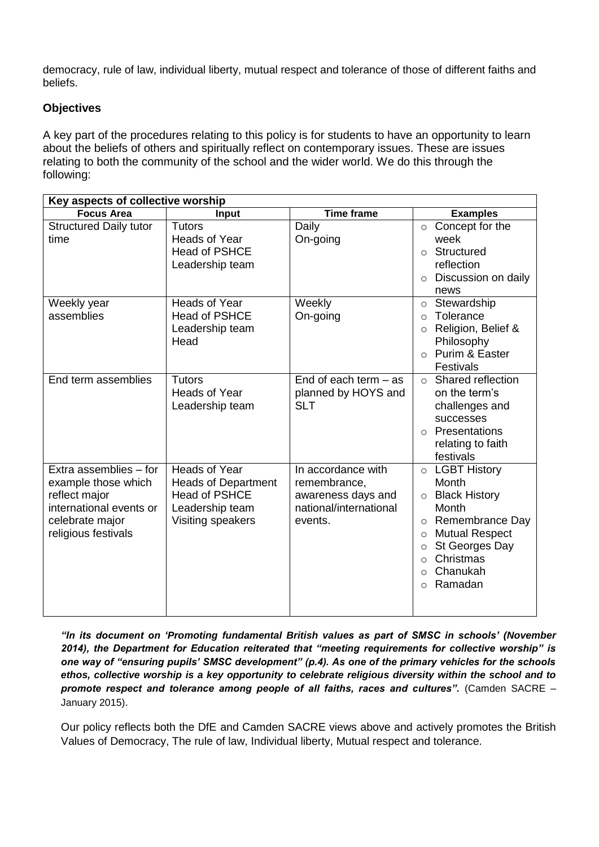democracy, rule of law, individual liberty, mutual respect and tolerance of those of different faiths and beliefs.

# **Objectives**

A key part of the procedures relating to this policy is for students to have an opportunity to learn about the beliefs of others and spiritually reflect on contemporary issues. These are issues relating to both the community of the school and the wider world. We do this through the following:

| Key aspects of collective worship                                                                                                   |                                                                                                             |                                                                                               |                                                                                                                                                                                                                                                  |  |
|-------------------------------------------------------------------------------------------------------------------------------------|-------------------------------------------------------------------------------------------------------------|-----------------------------------------------------------------------------------------------|--------------------------------------------------------------------------------------------------------------------------------------------------------------------------------------------------------------------------------------------------|--|
| <b>Focus Area</b>                                                                                                                   | Input                                                                                                       | <b>Time frame</b>                                                                             | <b>Examples</b>                                                                                                                                                                                                                                  |  |
| <b>Structured Daily tutor</b><br>time                                                                                               | <b>Tutors</b><br><b>Heads of Year</b><br><b>Head of PSHCE</b><br>Leadership team                            | Daily<br>On-going                                                                             | $\circ$ Concept for the<br>week<br>Structured<br>$\Omega$<br>reflection<br>Discussion on daily<br>$\circ$<br>news                                                                                                                                |  |
| Weekly year<br>assemblies                                                                                                           | Heads of Year<br><b>Head of PSHCE</b><br>Leadership team<br>Head                                            | Weekly<br>On-going                                                                            | Stewardship<br>$\circ$<br>Tolerance<br>$\circ$<br>Religion, Belief &<br>$\circ$<br>Philosophy<br>Purim & Easter<br>$\bigcap$<br><b>Festivals</b>                                                                                                 |  |
| End term assemblies                                                                                                                 | <b>Tutors</b><br><b>Heads of Year</b><br>Leadership team                                                    | End of each term $-$ as<br>planned by HOYS and<br><b>SLT</b>                                  | Shared reflection<br>$\circ$<br>on the term's<br>challenges and<br>successes<br>Presentations<br>$\bigcirc$<br>relating to faith<br>festivals                                                                                                    |  |
| Extra assemblies - for<br>example those which<br>reflect major<br>international events or<br>celebrate major<br>religious festivals | Heads of Year<br><b>Heads of Department</b><br><b>Head of PSHCE</b><br>Leadership team<br>Visiting speakers | In accordance with<br>remembrance,<br>awareness days and<br>national/international<br>events. | $\circ$ LGBT History<br>Month<br><b>Black History</b><br>$\circ$<br>Month<br>Remembrance Day<br>$\circ$<br><b>Mutual Respect</b><br>$\circ$<br>St Georges Day<br>$\circ$<br>Christmas<br>$\circ$<br>Chanukah<br>$\circ$<br>Ramadan<br>$\bigcirc$ |  |

*"In its document on 'Promoting fundamental British values as part of SMSC in schools' (November 2014), the Department for Education reiterated that "meeting requirements for collective worship" is one way of "ensuring pupils' SMSC development" (p.4). As one of the primary vehicles for the schools ethos, collective worship is a key opportunity to celebrate religious diversity within the school and to promote respect and tolerance among people of all faiths, races and cultures".* (Camden SACRE – January 2015).

Our policy reflects both the DfE and Camden SACRE views above and actively promotes the British Values of Democracy, The rule of law, Individual liberty, Mutual respect and tolerance.